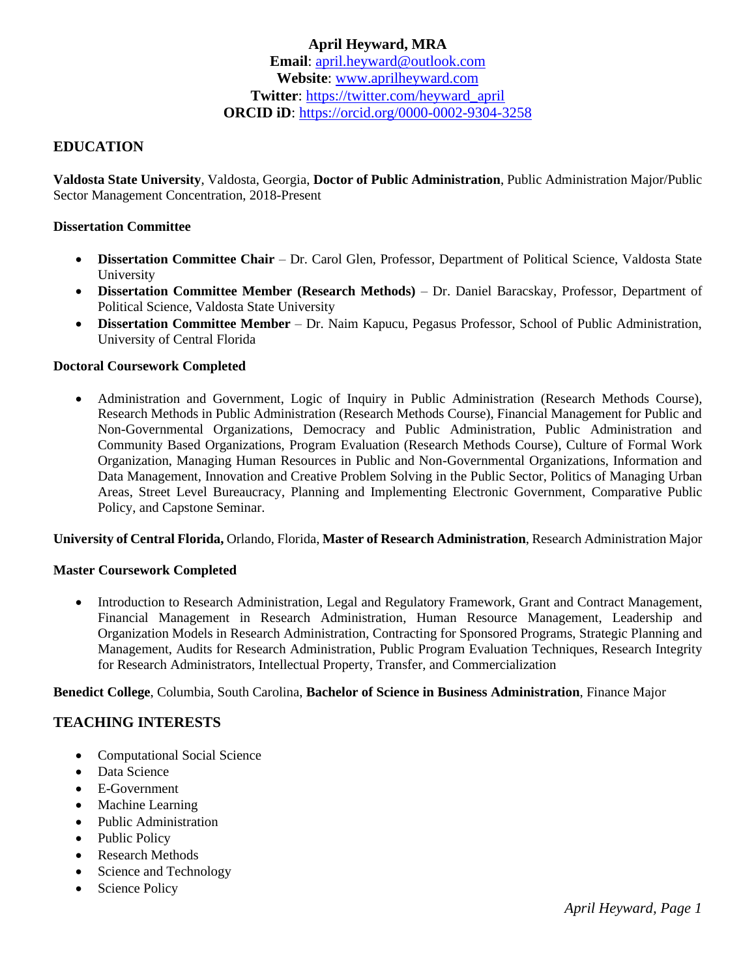## **April Heyward, MRA Email**: [april.heyward@outlook.com](mailto:april.heyward@outlook.com) **Website**: [www.aprilheyward.com](http://www.aprilheyward.com/) **Twitter**: [https://twitter.com/heyward\\_april](https://twitter.com/heyward_april) **ORCID iD**:<https://orcid.org/0000-0002-9304-3258>

## **EDUCATION**

**Valdosta State University**, Valdosta, Georgia, **Doctor of Public Administration**, Public Administration Major/Public Sector Management Concentration, 2018-Present

#### **Dissertation Committee**

- **Dissertation Committee Chair** Dr. Carol Glen, Professor, Department of Political Science, Valdosta State University
- **Dissertation Committee Member (Research Methods)** Dr. Daniel Baracskay, Professor, Department of Political Science, Valdosta State University
- **Dissertation Committee Member** Dr. Naim Kapucu, Pegasus Professor, School of Public Administration, University of Central Florida

#### **Doctoral Coursework Completed**

• Administration and Government, Logic of Inquiry in Public Administration (Research Methods Course), Research Methods in Public Administration (Research Methods Course), Financial Management for Public and Non-Governmental Organizations, Democracy and Public Administration, Public Administration and Community Based Organizations, Program Evaluation (Research Methods Course), Culture of Formal Work Organization, Managing Human Resources in Public and Non-Governmental Organizations, Information and Data Management, Innovation and Creative Problem Solving in the Public Sector, Politics of Managing Urban Areas, Street Level Bureaucracy, Planning and Implementing Electronic Government, Comparative Public Policy, and Capstone Seminar.

#### **University of Central Florida,** Orlando, Florida, **Master of Research Administration**, Research Administration Major

#### **Master Coursework Completed**

• Introduction to Research Administration, Legal and Regulatory Framework, Grant and Contract Management, Financial Management in Research Administration, Human Resource Management, Leadership and Organization Models in Research Administration, Contracting for Sponsored Programs, Strategic Planning and Management, Audits for Research Administration, Public Program Evaluation Techniques, Research Integrity for Research Administrators, Intellectual Property, Transfer, and Commercialization

**Benedict College**, Columbia, South Carolina, **Bachelor of Science in Business Administration**, Finance Major

#### **TEACHING INTERESTS**

- Computational Social Science
- Data Science
- E-Government
- Machine Learning
- Public Administration
- Public Policy
- Research Methods
- Science and Technology
- Science Policy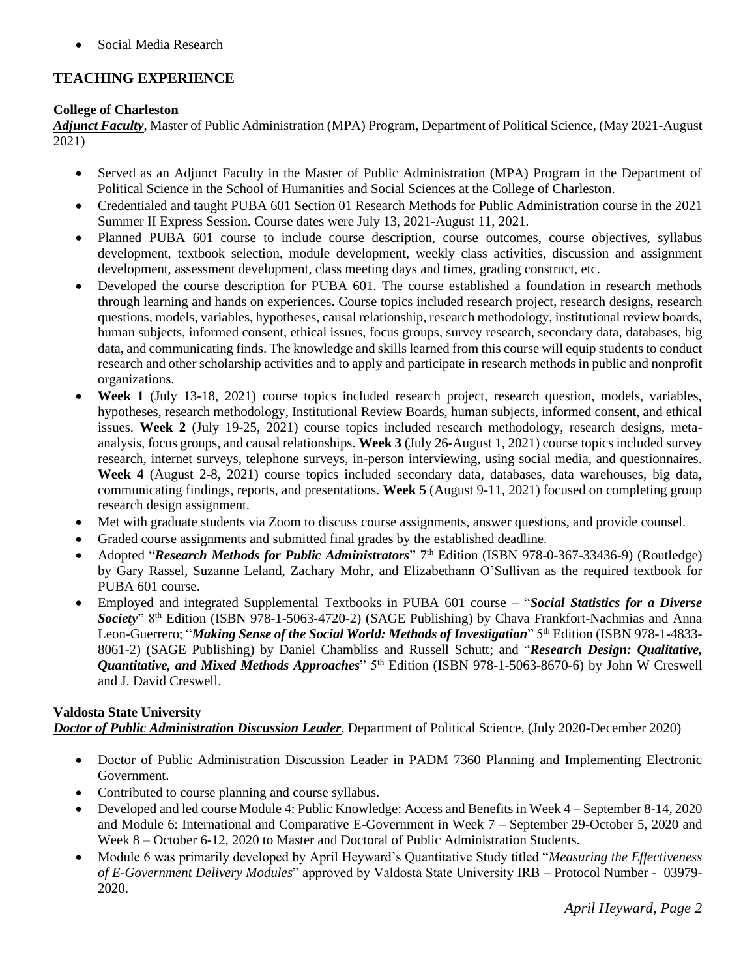• Social Media Research

# **TEACHING EXPERIENCE**

#### **College of Charleston**

*Adjunct Faculty*, Master of Public Administration (MPA) Program, Department of Political Science, (May 2021-August 2021)

- Served as an Adjunct Faculty in the Master of Public Administration (MPA) Program in the Department of Political Science in the School of Humanities and Social Sciences at the College of Charleston.
- Credentialed and taught PUBA 601 Section 01 Research Methods for Public Administration course in the 2021 Summer II Express Session. Course dates were July 13, 2021-August 11, 2021.
- Planned PUBA 601 course to include course description, course outcomes, course objectives, syllabus development, textbook selection, module development, weekly class activities, discussion and assignment development, assessment development, class meeting days and times, grading construct, etc.
- Developed the course description for PUBA 601. The course established a foundation in research methods through learning and hands on experiences. Course topics included research project, research designs, research questions, models, variables, hypotheses, causal relationship, research methodology, institutional review boards, human subjects, informed consent, ethical issues, focus groups, survey research, secondary data, databases, big data, and communicating finds. The knowledge and skills learned from this course will equip students to conduct research and other scholarship activities and to apply and participate in research methods in public and nonprofit organizations.
- **Week 1** (July 13-18, 2021) course topics included research project, research question, models, variables, hypotheses, research methodology, Institutional Review Boards, human subjects, informed consent, and ethical issues. **Week 2** (July 19-25, 2021) course topics included research methodology, research designs, metaanalysis, focus groups, and causal relationships. **Week 3** (July 26-August 1, 2021) course topics included survey research, internet surveys, telephone surveys, in-person interviewing, using social media, and questionnaires. **Week 4** (August 2-8, 2021) course topics included secondary data, databases, data warehouses, big data, communicating findings, reports, and presentations. **Week 5** (August 9-11, 2021) focused on completing group research design assignment.
- Met with graduate students via Zoom to discuss course assignments, answer questions, and provide counsel.
- Graded course assignments and submitted final grades by the established deadline.
- Adopted "Research Methods for Public Administrators" 7<sup>th</sup> Edition (ISBN 978-0-367-33436-9) (Routledge) by Gary Rassel, Suzanne Leland, Zachary Mohr, and Elizabethann O'Sullivan as the required textbook for PUBA 601 course.
- Employed and integrated Supplemental Textbooks in PUBA 601 course "*Social Statistics for a Diverse Society*" 8th Edition (ISBN 978-1-5063-4720-2) (SAGE Publishing) by Chava Frankfort-Nachmias and Anna Leon-Guerrero; "*Making Sense of the Social World: Methods of Investigation*" 5<sup>th</sup> Edition (ISBN 978-1-4833-8061-2) (SAGE Publishing) by Daniel Chambliss and Russell Schutt; and "*Research Design: Qualitative, Quantitative, and Mixed Methods Approaches*" 5<sup>th</sup> Edition (ISBN 978-1-5063-8670-6) by John W Creswell and J. David Creswell.

#### **Valdosta State University** *Doctor of Public Administration Discussion Leader*, Department of Political Science, (July 2020-December 2020)

- Doctor of Public Administration Discussion Leader in PADM 7360 Planning and Implementing Electronic Government.
- Contributed to course planning and course syllabus.
- Developed and led course Module 4: Public Knowledge: Access and Benefits in Week 4 September 8-14, 2020 and Module 6: International and Comparative E-Government in Week 7 – September 29-October 5, 2020 and Week 8 – October 6-12, 2020 to Master and Doctoral of Public Administration Students.
- Module 6 was primarily developed by April Heyward's Quantitative Study titled "*Measuring the Effectiveness of E-Government Delivery Modules*" approved by Valdosta State University IRB – Protocol Number - 03979- 2020.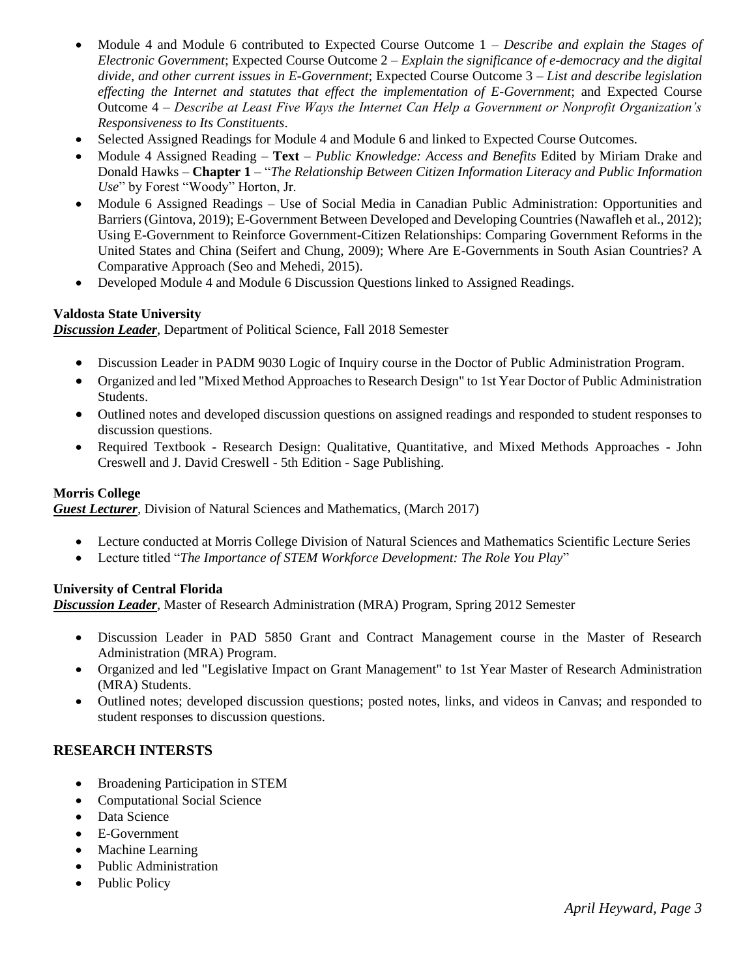- Module 4 and Module 6 contributed to Expected Course Outcome 1 *Describe and explain the Stages of Electronic Government*; Expected Course Outcome 2 – *Explain the significance of e-democracy and the digital divide, and other current issues in E-Government*; Expected Course Outcome 3 – *List and describe legislation effecting the Internet and statutes that effect the implementation of E-Government*; and Expected Course Outcome 4 – *Describe at Least Five Ways the Internet Can Help a Government or Nonprofit Organization's Responsiveness to Its Constituents*.
- Selected Assigned Readings for Module 4 and Module 6 and linked to Expected Course Outcomes.
- Module 4 Assigned Reading **Text** *Public Knowledge: Access and Benefits* Edited by Miriam Drake and Donald Hawks – **Chapter 1** – "*The Relationship Between Citizen Information Literacy and Public Information Use*" by Forest "Woody" Horton, Jr.
- Module 6 Assigned Readings Use of Social Media in Canadian Public Administration: Opportunities and Barriers (Gintova, 2019); E-Government Between Developed and Developing Countries (Nawafleh et al., 2012); Using E-Government to Reinforce Government-Citizen Relationships: Comparing Government Reforms in the United States and China (Seifert and Chung, 2009); Where Are E-Governments in South Asian Countries? A Comparative Approach (Seo and Mehedi, 2015).
- Developed Module 4 and Module 6 Discussion Questions linked to Assigned Readings.

#### **Valdosta State University**

*Discussion Leader*, Department of Political Science, Fall 2018 Semester

- Discussion Leader in PADM 9030 Logic of Inquiry course in the Doctor of Public Administration Program.
- Organized and led "Mixed Method Approaches to Research Design" to 1st Year Doctor of Public Administration Students.
- Outlined notes and developed discussion questions on assigned readings and responded to student responses to discussion questions.
- Required Textbook Research Design: Qualitative, Quantitative, and Mixed Methods Approaches John Creswell and J. David Creswell - 5th Edition - Sage Publishing.

#### **Morris College**

**Guest Lecturer**, Division of Natural Sciences and Mathematics, (March 2017)

- Lecture conducted at Morris College Division of Natural Sciences and Mathematics Scientific Lecture Series
- Lecture titled "*The Importance of STEM Workforce Development: The Role You Play*"

#### **University of Central Florida**

*Discussion Leader*, Master of Research Administration (MRA) Program, Spring 2012 Semester

- Discussion Leader in PAD 5850 Grant and Contract Management course in the Master of Research Administration (MRA) Program.
- Organized and led "Legislative Impact on Grant Management" to 1st Year Master of Research Administration (MRA) Students.
- Outlined notes; developed discussion questions; posted notes, links, and videos in Canvas; and responded to student responses to discussion questions.

### **RESEARCH INTERSTS**

- Broadening Participation in STEM
- Computational Social Science
- Data Science
- E-Government
- Machine Learning
- Public Administration
- Public Policy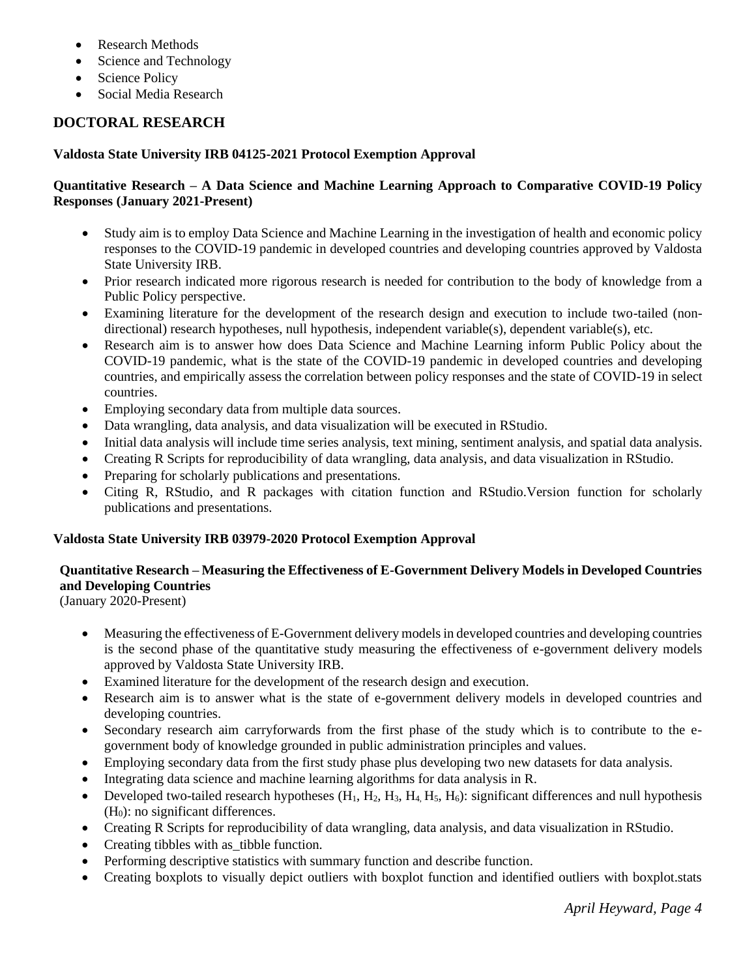- Research Methods
- Science and Technology
- Science Policy
- Social Media Research

# **DOCTORAL RESEARCH**

#### **Valdosta State University IRB 04125-2021 Protocol Exemption Approval**

#### **Quantitative Research – A Data Science and Machine Learning Approach to Comparative COVID-19 Policy Responses (January 2021-Present)**

- Study aim is to employ Data Science and Machine Learning in the investigation of health and economic policy responses to the COVID-19 pandemic in developed countries and developing countries approved by Valdosta State University IRB.
- Prior research indicated more rigorous research is needed for contribution to the body of knowledge from a Public Policy perspective.
- Examining literature for the development of the research design and execution to include two-tailed (nondirectional) research hypotheses, null hypothesis, independent variable(s), dependent variable(s), etc.
- Research aim is to answer how does Data Science and Machine Learning inform Public Policy about the COVID-19 pandemic, what is the state of the COVID-19 pandemic in developed countries and developing countries, and empirically assess the correlation between policy responses and the state of COVID-19 in select countries.
- Employing secondary data from multiple data sources.
- Data wrangling, data analysis, and data visualization will be executed in RStudio.
- Initial data analysis will include time series analysis, text mining, sentiment analysis, and spatial data analysis.
- Creating R Scripts for reproducibility of data wrangling, data analysis, and data visualization in RStudio.
- Preparing for scholarly publications and presentations.
- Citing R, RStudio, and R packages with citation function and RStudio.Version function for scholarly publications and presentations.

#### **Valdosta State University IRB 03979-2020 Protocol Exemption Approval**

# **Quantitative Research – Measuring the Effectiveness of E-Government Delivery Models in Developed Countries and Developing Countries**

(January 2020-Present)

- Measuring the effectiveness of E-Government delivery models in developed countries and developing countries is the second phase of the quantitative study measuring the effectiveness of e-government delivery models approved by Valdosta State University IRB.
- Examined literature for the development of the research design and execution.
- Research aim is to answer what is the state of e-government delivery models in developed countries and developing countries.
- Secondary research aim carryforwards from the first phase of the study which is to contribute to the egovernment body of knowledge grounded in public administration principles and values.
- Employing secondary data from the first study phase plus developing two new datasets for data analysis.
- Integrating data science and machine learning algorithms for data analysis in R.
- Developed two-tailed research hypotheses  $(H_1, H_2, H_3, H_4, H_5, H_6)$ : significant differences and null hypothesis  $(H<sub>0</sub>)$ : no significant differences.
- Creating R Scripts for reproducibility of data wrangling, data analysis, and data visualization in RStudio.
- Creating tibbles with as\_tibble function.
- Performing descriptive statistics with summary function and describe function.
- Creating boxplots to visually depict outliers with boxplot function and identified outliers with boxplot.stats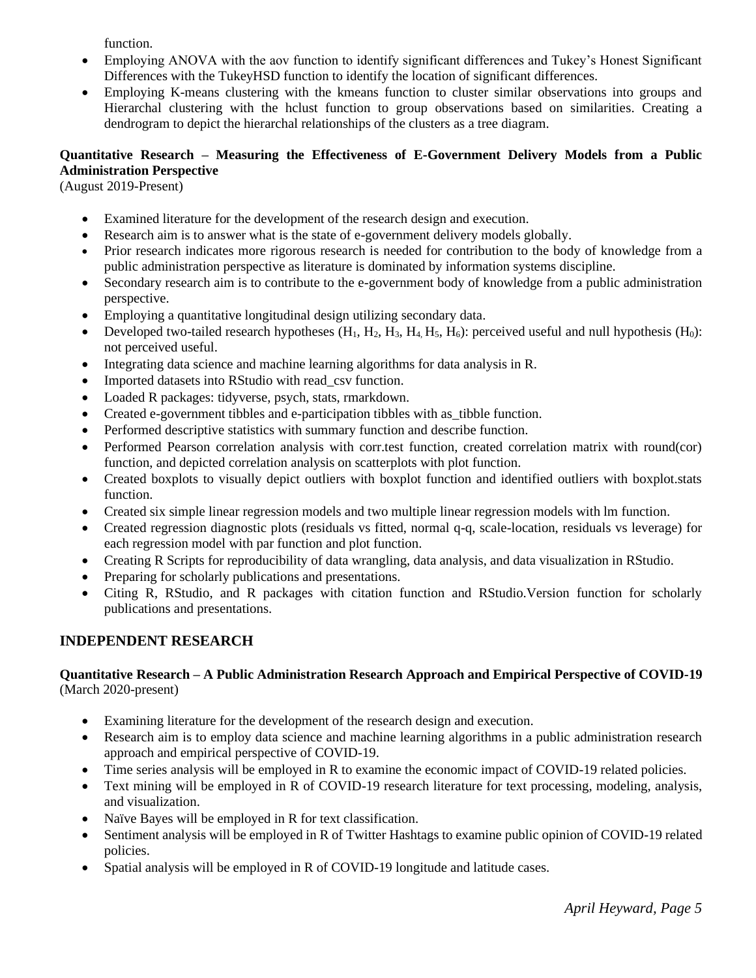function.

- Employing ANOVA with the aov function to identify significant differences and Tukey's Honest Significant Differences with the TukeyHSD function to identify the location of significant differences.
- Employing K-means clustering with the kmeans function to cluster similar observations into groups and Hierarchal clustering with the hclust function to group observations based on similarities. Creating a dendrogram to depict the hierarchal relationships of the clusters as a tree diagram.

## **Quantitative Research – Measuring the Effectiveness of E-Government Delivery Models from a Public Administration Perspective**

(August 2019-Present)

- Examined literature for the development of the research design and execution.
- Research aim is to answer what is the state of e-government delivery models globally.
- Prior research indicates more rigorous research is needed for contribution to the body of knowledge from a public administration perspective as literature is dominated by information systems discipline.
- Secondary research aim is to contribute to the e-government body of knowledge from a public administration perspective.
- Employing a quantitative longitudinal design utilizing secondary data.
- Developed two-tailed research hypotheses  $(H_1, H_2, H_3, H_4, H_5, H_6)$ : perceived useful and null hypothesis  $(H_0)$ : not perceived useful.
- Integrating data science and machine learning algorithms for data analysis in R.
- Imported datasets into RStudio with read\_csv function.
- Loaded R packages: tidyverse, psych, stats, rmarkdown.
- Created e-government tibbles and e-participation tibbles with as\_tibble function.
- Performed descriptive statistics with summary function and describe function.
- Performed Pearson correlation analysis with corr.test function, created correlation matrix with round(cor) function, and depicted correlation analysis on scatterplots with plot function.
- Created boxplots to visually depict outliers with boxplot function and identified outliers with boxplot.stats function.
- Created six simple linear regression models and two multiple linear regression models with lm function.
- Created regression diagnostic plots (residuals vs fitted, normal q-q, scale-location, residuals vs leverage) for each regression model with par function and plot function.
- Creating R Scripts for reproducibility of data wrangling, data analysis, and data visualization in RStudio.
- Preparing for scholarly publications and presentations.
- Citing R, RStudio, and R packages with citation function and RStudio.Version function for scholarly publications and presentations.

## **INDEPENDENT RESEARCH**

#### **Quantitative Research – A Public Administration Research Approach and Empirical Perspective of COVID-19** (March 2020-present)

- Examining literature for the development of the research design and execution.
- Research aim is to employ data science and machine learning algorithms in a public administration research approach and empirical perspective of COVID-19.
- Time series analysis will be employed in R to examine the economic impact of COVID-19 related policies.
- Text mining will be employed in R of COVID-19 research literature for text processing, modeling, analysis, and visualization.
- Naïve Bayes will be employed in R for text classification.
- Sentiment analysis will be employed in R of Twitter Hashtags to examine public opinion of COVID-19 related policies.
- Spatial analysis will be employed in R of COVID-19 longitude and latitude cases.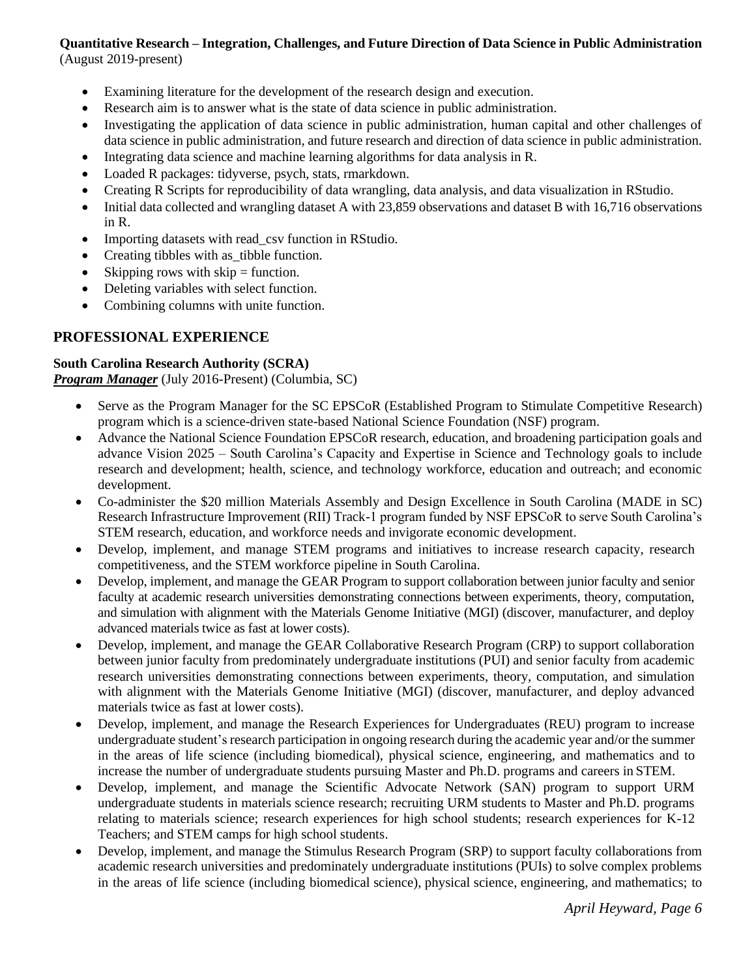# **Quantitative Research – Integration, Challenges, and Future Direction of Data Science in Public Administration**

(August 2019-present)

- Examining literature for the development of the research design and execution.
- Research aim is to answer what is the state of data science in public administration.
- Investigating the application of data science in public administration, human capital and other challenges of data science in public administration, and future research and direction of data science in public administration.
- Integrating data science and machine learning algorithms for data analysis in R.
- Loaded R packages: tidyverse, psych, stats, rmarkdown.
- Creating R Scripts for reproducibility of data wrangling, data analysis, and data visualization in RStudio.
- Initial data collected and wrangling dataset A with 23,859 observations and dataset B with 16,716 observations in R.
- Importing datasets with read csv function in RStudio.
- Creating tibbles with as tibble function.
- Skipping rows with  $skip =$  function.
- Deleting variables with select function.
- Combining columns with unite function.

# **PROFESSIONAL EXPERIENCE**

### **South Carolina Research Authority (SCRA)**

*Program Manager* (July 2016-Present) (Columbia, SC)

- Serve as the Program Manager for the SC EPSCoR (Established Program to Stimulate Competitive Research) program which is a science-driven state-based National Science Foundation (NSF) program.
- Advance the National Science Foundation EPSCoR research, education, and broadening participation goals and advance Vision 2025 – South Carolina's Capacity and Expertise in Science and Technology goals to include research and development; health, science, and technology workforce, education and outreach; and economic development.
- Co-administer the \$20 million Materials Assembly and Design Excellence in South Carolina (MADE in SC) Research Infrastructure Improvement (RII) Track-1 program funded by NSF EPSCoR to serve South Carolina's STEM research, education, and workforce needs and invigorate economic development.
- Develop, implement, and manage STEM programs and initiatives to increase research capacity, research competitiveness, and the STEM workforce pipeline in South Carolina.
- Develop, implement, and manage the GEAR Program to support collaboration between junior faculty and senior faculty at academic research universities demonstrating connections between experiments, theory, computation, and simulation with alignment with the Materials Genome Initiative (MGI) (discover, manufacturer, and deploy advanced materials twice as fast at lower costs).
- Develop, implement, and manage the GEAR Collaborative Research Program (CRP) to support collaboration between junior faculty from predominately undergraduate institutions (PUI) and senior faculty from academic research universities demonstrating connections between experiments, theory, computation, and simulation with alignment with the Materials Genome Initiative (MGI) (discover, manufacturer, and deploy advanced materials twice as fast at lower costs).
- Develop, implement, and manage the Research Experiences for Undergraduates (REU) program to increase undergraduate student's research participation in ongoing research during the academic year and/or the summer in the areas of life science (including biomedical), physical science, engineering, and mathematics and to increase the number of undergraduate students pursuing Master and Ph.D. programs and careers in STEM.
- Develop, implement, and manage the Scientific Advocate Network (SAN) program to support URM undergraduate students in materials science research; recruiting URM students to Master and Ph.D. programs relating to materials science; research experiences for high school students; research experiences for K-12 Teachers; and STEM camps for high school students.
- Develop, implement, and manage the Stimulus Research Program (SRP) to support faculty collaborations from academic research universities and predominately undergraduate institutions (PUIs) to solve complex problems in the areas of life science (including biomedical science), physical science, engineering, and mathematics; to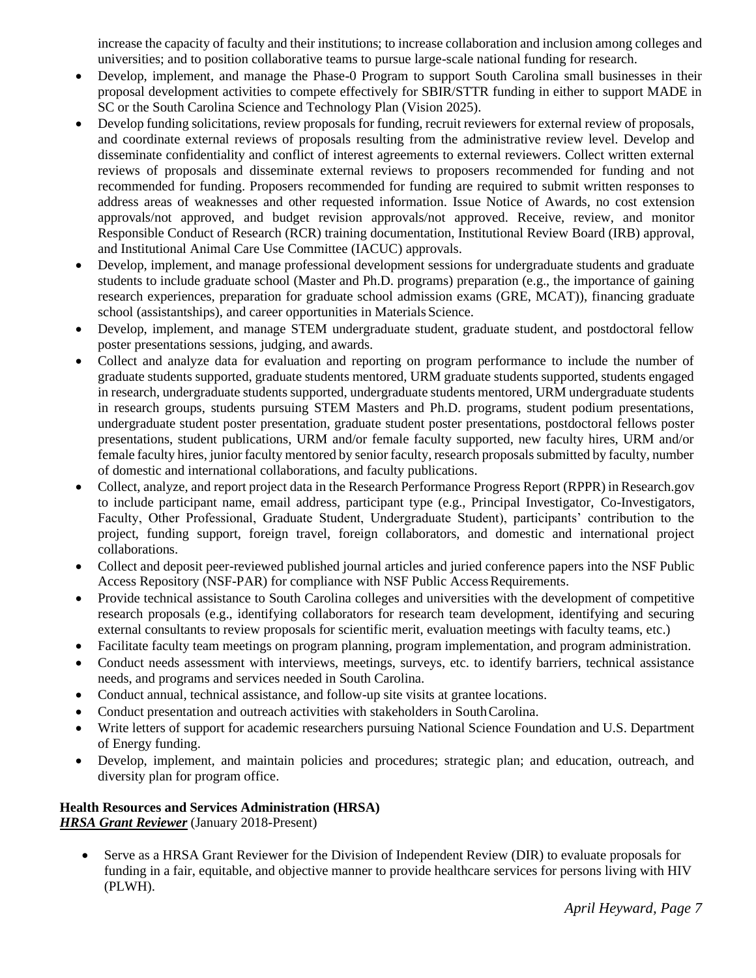increase the capacity of faculty and their institutions; to increase collaboration and inclusion among colleges and universities; and to position collaborative teams to pursue large-scale national funding for research.

- Develop, implement, and manage the Phase-0 Program to support South Carolina small businesses in their proposal development activities to compete effectively for SBIR/STTR funding in either to support MADE in SC or the South Carolina Science and Technology Plan (Vision 2025).
- Develop funding solicitations, review proposals for funding, recruit reviewers for external review of proposals, and coordinate external reviews of proposals resulting from the administrative review level. Develop and disseminate confidentiality and conflict of interest agreements to external reviewers. Collect written external reviews of proposals and disseminate external reviews to proposers recommended for funding and not recommended for funding. Proposers recommended for funding are required to submit written responses to address areas of weaknesses and other requested information. Issue Notice of Awards, no cost extension approvals/not approved, and budget revision approvals/not approved. Receive, review, and monitor Responsible Conduct of Research (RCR) training documentation, Institutional Review Board (IRB) approval, and Institutional Animal Care Use Committee (IACUC) approvals.
- Develop, implement, and manage professional development sessions for undergraduate students and graduate students to include graduate school (Master and Ph.D. programs) preparation (e.g., the importance of gaining research experiences, preparation for graduate school admission exams (GRE, MCAT)), financing graduate school (assistantships), and career opportunities in Materials Science.
- Develop, implement, and manage STEM undergraduate student, graduate student, and postdoctoral fellow poster presentations sessions, judging, and awards.
- Collect and analyze data for evaluation and reporting on program performance to include the number of graduate students supported, graduate students mentored, URM graduate students supported, students engaged in research, undergraduate students supported, undergraduate students mentored, URM undergraduate students in research groups, students pursuing STEM Masters and Ph.D. programs, student podium presentations, undergraduate student poster presentation, graduate student poster presentations, postdoctoral fellows poster presentations, student publications, URM and/or female faculty supported, new faculty hires, URM and/or female faculty hires, junior faculty mentored by senior faculty, research proposals submitted by faculty, number of domestic and international collaborations, and faculty publications.
- Collect, analyze, and report project data in the Research Performance Progress Report (RPPR) in Research.gov to include participant name, email address, participant type (e.g., Principal Investigator, Co-Investigators, Faculty, Other Professional, Graduate Student, Undergraduate Student), participants' contribution to the project, funding support, foreign travel, foreign collaborators, and domestic and international project collaborations.
- Collect and deposit peer-reviewed published journal articles and juried conference papers into the NSF Public Access Repository (NSF-PAR) for compliance with NSF Public Access Requirements.
- Provide technical assistance to South Carolina colleges and universities with the development of competitive research proposals (e.g., identifying collaborators for research team development, identifying and securing external consultants to review proposals for scientific merit, evaluation meetings with faculty teams, etc.)
- Facilitate faculty team meetings on program planning, program implementation, and program administration.
- Conduct needs assessment with interviews, meetings, surveys, etc. to identify barriers, technical assistance needs, and programs and services needed in South Carolina.
- Conduct annual, technical assistance, and follow-up site visits at grantee locations.
- Conduct presentation and outreach activities with stakeholders in South Carolina.
- Write letters of support for academic researchers pursuing National Science Foundation and U.S. Department of Energy funding.
- Develop, implement, and maintain policies and procedures; strategic plan; and education, outreach, and diversity plan for program office.

#### **Health Resources and Services Administration (HRSA)** *HRSA Grant Reviewer* (January 2018-Present)

• Serve as a HRSA Grant Reviewer for the Division of Independent Review (DIR) to evaluate proposals for funding in a fair, equitable, and objective manner to provide healthcare services for persons living with HIV (PLWH).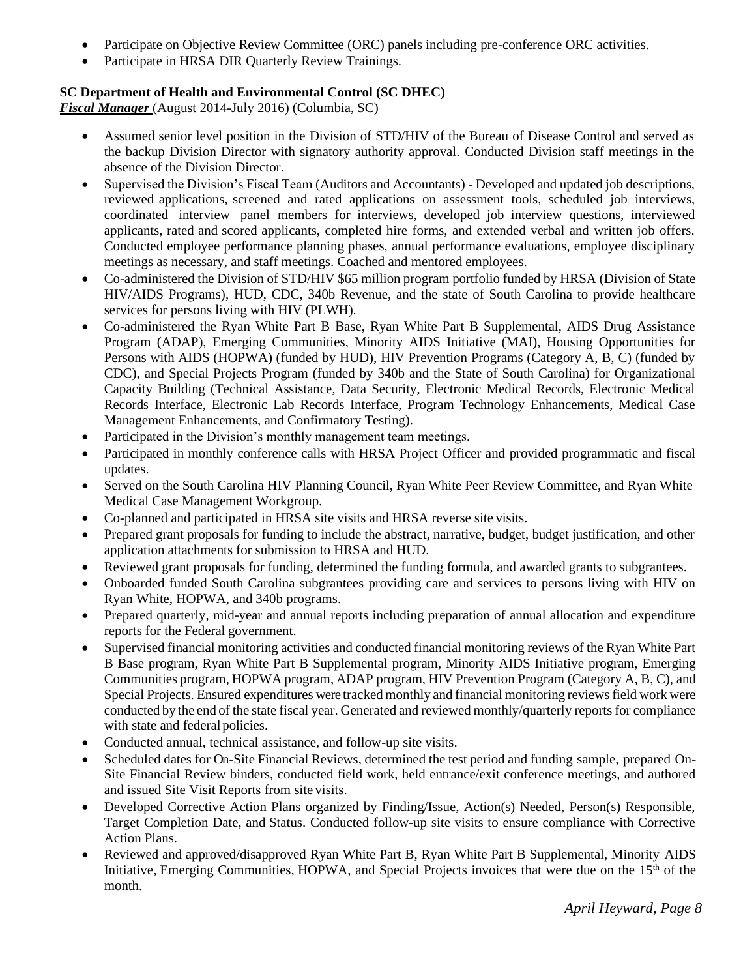- Participate on Objective Review Committee (ORC) panels including pre-conference ORC activities.
- Participate in HRSA DIR Quarterly Review Trainings.

## **SC Department of Health and Environmental Control (SC DHEC)**

*Fiscal Manager* (August 2014-July 2016) (Columbia, SC)

- Assumed senior level position in the Division of STD/HIV of the Bureau of Disease Control and served as the backup Division Director with signatory authority approval. Conducted Division staff meetings in the absence of the Division Director.
- Supervised the Division's Fiscal Team (Auditors and Accountants) Developed and updated job descriptions, reviewed applications, screened and rated applications on assessment tools, scheduled job interviews, coordinated interview panel members for interviews, developed job interview questions, interviewed applicants, rated and scored applicants, completed hire forms, and extended verbal and written job offers. Conducted employee performance planning phases, annual performance evaluations, employee disciplinary meetings as necessary, and staff meetings. Coached and mentored employees.
- Co-administered the Division of STD/HIV \$65 million program portfolio funded by HRSA (Division of State HIV/AIDS Programs), HUD, CDC, 340b Revenue, and the state of South Carolina to provide healthcare services for persons living with HIV (PLWH).
- Co-administered the Ryan White Part B Base, Ryan White Part B Supplemental, AIDS Drug Assistance Program (ADAP), Emerging Communities, Minority AIDS Initiative (MAI), Housing Opportunities for Persons with AIDS (HOPWA) (funded by HUD), HIV Prevention Programs (Category A, B, C) (funded by CDC), and Special Projects Program (funded by 340b and the State of South Carolina) for Organizational Capacity Building (Technical Assistance, Data Security, Electronic Medical Records, Electronic Medical Records Interface, Electronic Lab Records Interface, Program Technology Enhancements, Medical Case Management Enhancements, and Confirmatory Testing).
- Participated in the Division's monthly management team meetings.
- Participated in monthly conference calls with HRSA Project Officer and provided programmatic and fiscal updates.
- Served on the South Carolina HIV Planning Council, Ryan White Peer Review Committee, and Ryan White Medical Case Management Workgroup.
- Co-planned and participated in HRSA site visits and HRSA reverse site visits.
- Prepared grant proposals for funding to include the abstract, narrative, budget, budget justification, and other application attachments for submission to HRSA and HUD.
- Reviewed grant proposals for funding, determined the funding formula, and awarded grants to subgrantees.
- Onboarded funded South Carolina subgrantees providing care and services to persons living with HIV on Ryan White, HOPWA, and 340b programs.
- Prepared quarterly, mid-year and annual reports including preparation of annual allocation and expenditure reports for the Federal government.
- Supervised financial monitoring activities and conducted financial monitoring reviews of the Ryan White Part B Base program, Ryan White Part B Supplemental program, Minority AIDS Initiative program, Emerging Communities program, HOPWA program, ADAP program, HIV Prevention Program (Category A, B, C), and Special Projects. Ensured expenditures were tracked monthly and financial monitoring reviewsfield work were conducted by the end of the state fiscal year. Generated and reviewed monthly/quarterly reports for compliance with state and federal policies.
- Conducted annual, technical assistance, and follow-up site visits.
- Scheduled dates for On-Site Financial Reviews, determined the test period and funding sample, prepared On-Site Financial Review binders, conducted field work, held entrance/exit conference meetings, and authored and issued Site Visit Reports from site visits.
- Developed Corrective Action Plans organized by Finding/Issue, Action(s) Needed, Person(s) Responsible, Target Completion Date, and Status. Conducted follow-up site visits to ensure compliance with Corrective Action Plans.
- Reviewed and approved/disapproved Ryan White Part B, Ryan White Part B Supplemental, Minority AIDS Initiative, Emerging Communities, HOPWA, and Special Projects invoices that were due on the 15<sup>th</sup> of the month.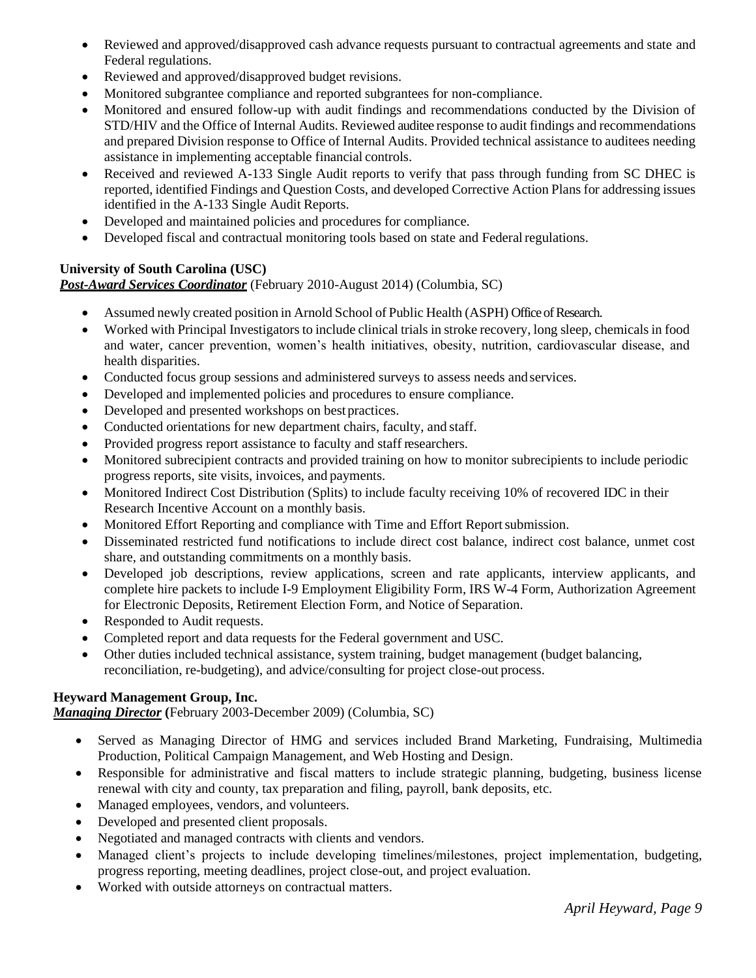- Reviewed and approved/disapproved cash advance requests pursuant to contractual agreements and state and Federal regulations.
- Reviewed and approved/disapproved budget revisions.
- Monitored subgrantee compliance and reported subgrantees for non-compliance.
- Monitored and ensured follow-up with audit findings and recommendations conducted by the Division of STD/HIV and the Office of Internal Audits. Reviewed auditee response to audit findings and recommendations and prepared Division response to Office of Internal Audits. Provided technical assistance to auditees needing assistance in implementing acceptable financial controls.
- Received and reviewed A-133 Single Audit reports to verify that pass through funding from SC DHEC is reported, identified Findings and Question Costs, and developed Corrective Action Plans for addressing issues identified in the A-133 Single Audit Reports.
- Developed and maintained policies and procedures for compliance.
- Developed fiscal and contractual monitoring tools based on state and Federal regulations.

### **University of South Carolina (USC)**

*Post-Award Services Coordinator* (February 2010-August 2014) (Columbia, SC)

- Assumed newly created position in Arnold School of Public Health (ASPH) Office of Research.
- Worked with Principal Investigators to include clinical trials in stroke recovery, long sleep, chemicals in food and water, cancer prevention, women's health initiatives, obesity, nutrition, cardiovascular disease, and health disparities.
- Conducted focus group sessions and administered surveys to assess needs and services.
- Developed and implemented policies and procedures to ensure compliance.
- Developed and presented workshops on best practices.
- Conducted orientations for new department chairs, faculty, and staff.
- Provided progress report assistance to faculty and staff researchers.
- Monitored subrecipient contracts and provided training on how to monitor subrecipients to include periodic progress reports, site visits, invoices, and payments.
- Monitored Indirect Cost Distribution (Splits) to include faculty receiving 10% of recovered IDC in their Research Incentive Account on a monthly basis.
- Monitored Effort Reporting and compliance with Time and Effort Reportsubmission.
- Disseminated restricted fund notifications to include direct cost balance, indirect cost balance, unmet cost share, and outstanding commitments on a monthly basis.
- Developed job descriptions, review applications, screen and rate applicants, interview applicants, and complete hire packets to include I-9 Employment Eligibility Form, IRS W-4 Form, Authorization Agreement for Electronic Deposits, Retirement Election Form, and Notice of Separation.
- Responded to Audit requests.
- Completed report and data requests for the Federal government and USC.
- Other duties included technical assistance, system training, budget management (budget balancing, reconciliation, re-budgeting), and advice/consulting for project close-out process.

#### **Heyward Management Group, Inc.**

*Managing Director* **(**February 2003-December 2009) (Columbia, SC)

- Served as Managing Director of HMG and services included Brand Marketing, Fundraising, Multimedia Production, Political Campaign Management, and Web Hosting and Design.
- Responsible for administrative and fiscal matters to include strategic planning, budgeting, business license renewal with city and county, tax preparation and filing, payroll, bank deposits, etc.
- Managed employees, vendors, and volunteers.
- Developed and presented client proposals.
- Negotiated and managed contracts with clients and vendors.
- Managed client's projects to include developing timelines/milestones, project implementation, budgeting, progress reporting, meeting deadlines, project close-out, and project evaluation.
- Worked with outside attorneys on contractual matters.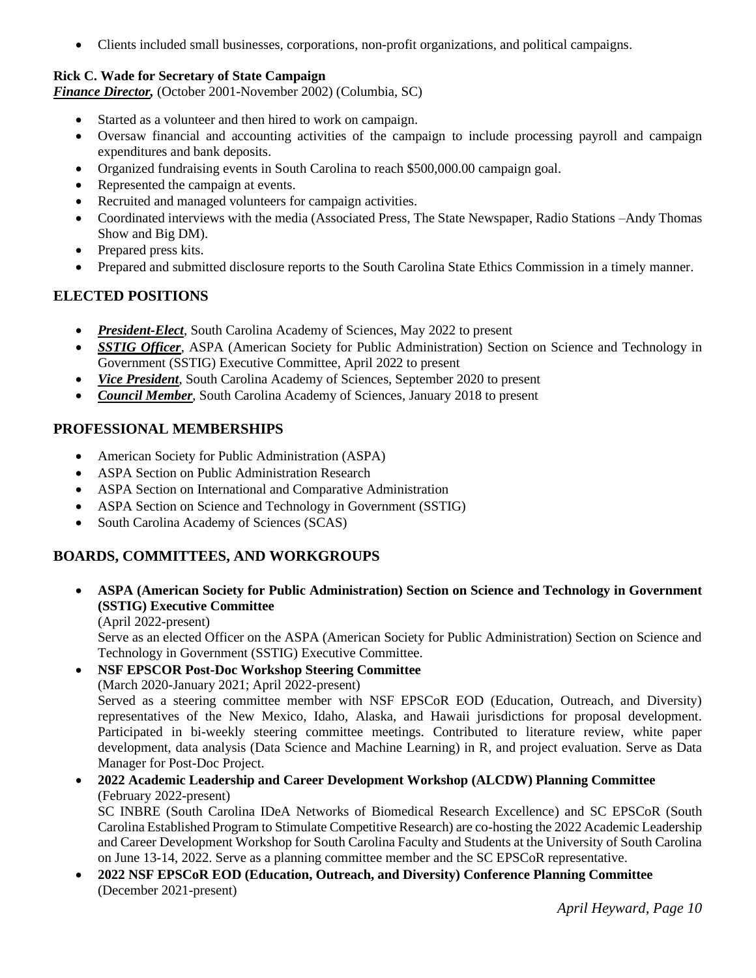• Clients included small businesses, corporations, non-profit organizations, and political campaigns.

### **Rick C. Wade for Secretary of State Campaign**

*Finance Director,* (October 2001-November 2002) (Columbia, SC)

- Started as a volunteer and then hired to work on campaign.
- Oversaw financial and accounting activities of the campaign to include processing payroll and campaign expenditures and bank deposits.
- Organized fundraising events in South Carolina to reach \$500,000.00 campaign goal.
- Represented the campaign at events.
- Recruited and managed volunteers for campaign activities.
- Coordinated interviews with the media (Associated Press, The State Newspaper, Radio Stations –Andy Thomas Show and Big DM).
- Prepared press kits.
- Prepared and submitted disclosure reports to the South Carolina State Ethics Commission in a timely manner.

# **ELECTED POSITIONS**

- *President-Elect*, South Carolina Academy of Sciences, May 2022 to present
- *SSTIG Officer*, ASPA (American Society for Public Administration) Section on Science and Technology in Government (SSTIG) Executive Committee, April 2022 to present
- *Vice President*, South Carolina Academy of Sciences, September 2020 to present
- *Council Member*, South Carolina Academy of Sciences, January 2018 to present

## **PROFESSIONAL MEMBERSHIPS**

- American Society for Public Administration (ASPA)
- ASPA Section on Public Administration Research
- ASPA Section on International and Comparative Administration
- ASPA Section on Science and Technology in Government (SSTIG)
- South Carolina Academy of Sciences (SCAS)

# **BOARDS, COMMITTEES, AND WORKGROUPS**

- **ASPA (American Society for Public Administration) Section on Science and Technology in Government (SSTIG) Executive Committee**
	- (April 2022-present)

Serve as an elected Officer on the ASPA (American Society for Public Administration) Section on Science and Technology in Government (SSTIG) Executive Committee.

• **NSF EPSCOR Post-Doc Workshop Steering Committee** (March 2020-January 2021; April 2022-present) Served as a steering committee member with NSF EPSCoR EOD (Education, Outreach, and Diversity)

representatives of the New Mexico, Idaho, Alaska, and Hawaii jurisdictions for proposal development. Participated in bi-weekly steering committee meetings. Contributed to literature review, white paper development, data analysis (Data Science and Machine Learning) in R, and project evaluation. Serve as Data Manager for Post-Doc Project.

• **2022 Academic Leadership and Career Development Workshop (ALCDW) Planning Committee** (February 2022-present)

SC INBRE (South Carolina IDeA Networks of Biomedical Research Excellence) and SC EPSCoR (South Carolina Established Program to Stimulate Competitive Research) are co-hosting the 2022 Academic Leadership and Career Development Workshop for South Carolina Faculty and Students at the University of South Carolina on June 13-14, 2022. Serve as a planning committee member and the SC EPSCoR representative.

• **2022 NSF EPSCoR EOD (Education, Outreach, and Diversity) Conference Planning Committee** (December 2021-present)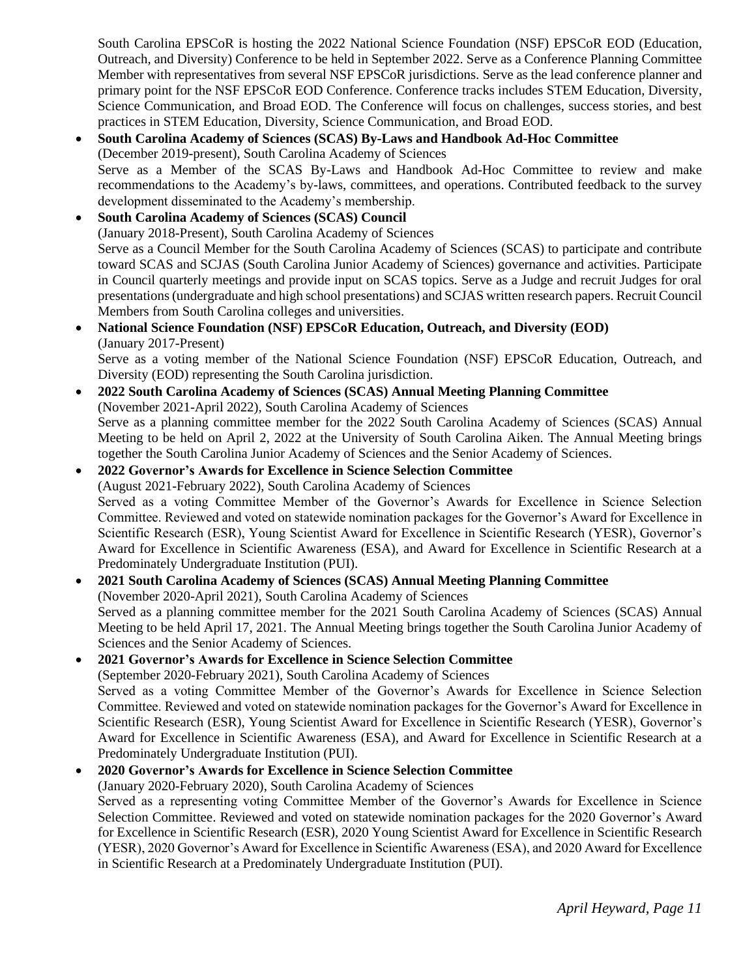South Carolina EPSCoR is hosting the 2022 National Science Foundation (NSF) EPSCoR EOD (Education, Outreach, and Diversity) Conference to be held in September 2022. Serve as a Conference Planning Committee Member with representatives from several NSF EPSCoR jurisdictions. Serve as the lead conference planner and primary point for the NSF EPSCoR EOD Conference. Conference tracks includes STEM Education, Diversity, Science Communication, and Broad EOD. The Conference will focus on challenges, success stories, and best practices in STEM Education, Diversity, Science Communication, and Broad EOD.

### • **South Carolina Academy of Sciences (SCAS) By-Laws and Handbook Ad-Hoc Committee** (December 2019-present), South Carolina Academy of Sciences Serve as a Member of the SCAS By-Laws and Handbook Ad-Hoc Committee to review and make recommendations to the Academy's by-laws, committees, and operations. Contributed feedback to the survey development disseminated to the Academy's membership.

- **South Carolina Academy of Sciences (SCAS) Council** (January 2018-Present), South Carolina Academy of Sciences Serve as a Council Member for the South Carolina Academy of Sciences (SCAS) to participate and contribute toward SCAS and SCJAS (South Carolina Junior Academy of Sciences) governance and activities. Participate in Council quarterly meetings and provide input on SCAS topics. Serve as a Judge and recruit Judges for oral presentations (undergraduate and high school presentations) and SCJAS written research papers. Recruit Council Members from South Carolina colleges and universities.
- **National Science Foundation (NSF) EPSCoR Education, Outreach, and Diversity (EOD)** (January 2017-Present) Serve as a voting member of the National Science Foundation (NSF) EPSCoR Education, Outreach, and
- Diversity (EOD) representing the South Carolina jurisdiction. • **2022 South Carolina Academy of Sciences (SCAS) Annual Meeting Planning Committee** (November 2021-April 2022), South Carolina Academy of Sciences Serve as a planning committee member for the 2022 South Carolina Academy of Sciences (SCAS) Annual Meeting to be held on April 2, 2022 at the University of South Carolina Aiken. The Annual Meeting brings together the South Carolina Junior Academy of Sciences and the Senior Academy of Sciences.
- **2022 Governor's Awards for Excellence in Science Selection Committee**  (August 2021-February 2022), South Carolina Academy of Sciences Served as a voting Committee Member of the Governor's Awards for Excellence in Science Selection Committee. Reviewed and voted on statewide nomination packages for the Governor's Award for Excellence in Scientific Research (ESR), Young Scientist Award for Excellence in Scientific Research (YESR), Governor's Award for Excellence in Scientific Awareness (ESA), and Award for Excellence in Scientific Research at a Predominately Undergraduate Institution (PUI).
- **2021 South Carolina Academy of Sciences (SCAS) Annual Meeting Planning Committee** (November 2020-April 2021), South Carolina Academy of Sciences Served as a planning committee member for the 2021 South Carolina Academy of Sciences (SCAS) Annual Meeting to be held April 17, 2021. The Annual Meeting brings together the South Carolina Junior Academy of Sciences and the Senior Academy of Sciences.

### • **2021 Governor's Awards for Excellence in Science Selection Committee**

(September 2020-February 2021), South Carolina Academy of Sciences Served as a voting Committee Member of the Governor's Awards for Excellence in Science Selection Committee. Reviewed and voted on statewide nomination packages for the Governor's Award for Excellence in Scientific Research (ESR), Young Scientist Award for Excellence in Scientific Research (YESR), Governor's Award for Excellence in Scientific Awareness (ESA), and Award for Excellence in Scientific Research at a Predominately Undergraduate Institution (PUI).

### • **2020 Governor's Awards for Excellence in Science Selection Committee**

(January 2020-February 2020), South Carolina Academy of Sciences

Served as a representing voting Committee Member of the Governor's Awards for Excellence in Science Selection Committee. Reviewed and voted on statewide nomination packages for the 2020 Governor's Award for Excellence in Scientific Research (ESR), 2020 Young Scientist Award for Excellence in Scientific Research (YESR), 2020 Governor's Award for Excellence in Scientific Awareness (ESA), and 2020 Award for Excellence in Scientific Research at a Predominately Undergraduate Institution (PUI).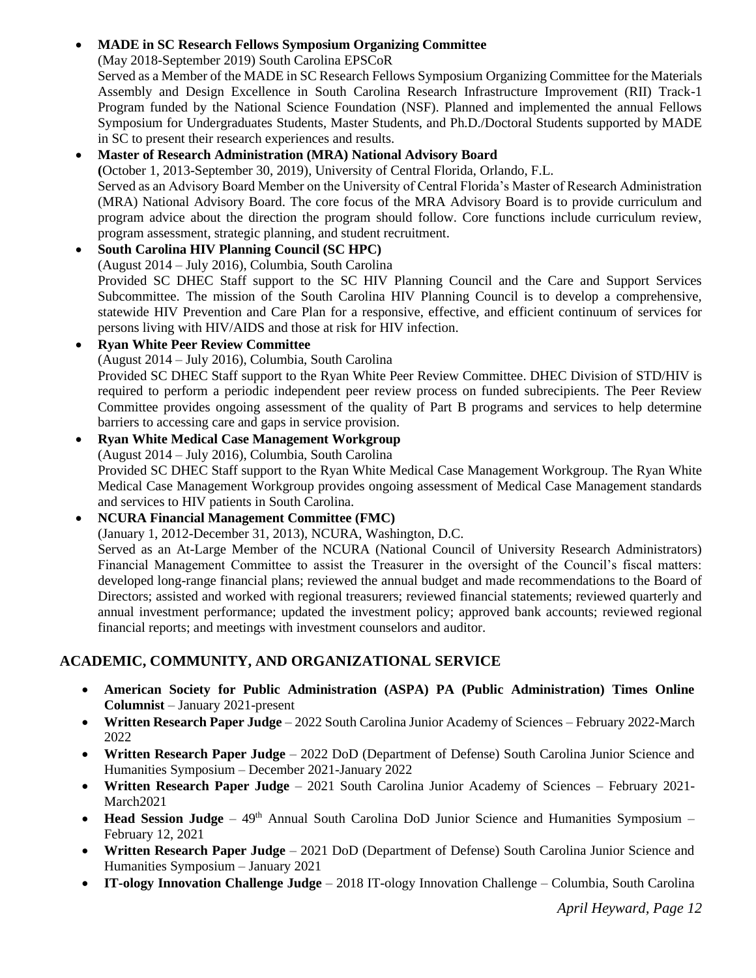## • **MADE in SC Research Fellows Symposium Organizing Committee**

(May 2018-September 2019) South Carolina EPSCoR

Served as a Member of the MADE in SC Research Fellows Symposium Organizing Committee for the Materials Assembly and Design Excellence in South Carolina Research Infrastructure Improvement (RII) Track-1 Program funded by the National Science Foundation (NSF). Planned and implemented the annual Fellows Symposium for Undergraduates Students, Master Students, and Ph.D./Doctoral Students supported by MADE in SC to present their research experiences and results.

### • **Master of Research Administration (MRA) National Advisory Board**

**(**October 1, 2013-September 30, 2019), University of Central Florida, Orlando, F.L.

Served as an Advisory Board Member on the University of Central Florida's Master of Research Administration (MRA) National Advisory Board. The core focus of the MRA Advisory Board is to provide curriculum and program advice about the direction the program should follow. Core functions include curriculum review, program assessment, strategic planning, and student recruitment.

#### • **South Carolina HIV Planning Council (SC HPC)**

(August 2014 – July 2016), Columbia, South Carolina

Provided SC DHEC Staff support to the SC HIV Planning Council and the Care and Support Services Subcommittee. The mission of the South Carolina HIV Planning Council is to develop a comprehensive, statewide HIV Prevention and Care Plan for a responsive, effective, and efficient continuum of services for persons living with HIV/AIDS and those at risk for HIV infection.

## • **Ryan White Peer Review Committee**

(August 2014 – July 2016), Columbia, South Carolina

Provided SC DHEC Staff support to the Ryan White Peer Review Committee. DHEC Division of STD/HIV is required to perform a periodic independent peer review process on funded subrecipients. The Peer Review Committee provides ongoing assessment of the quality of Part B programs and services to help determine barriers to accessing care and gaps in service provision.

#### • **Ryan White Medical Case Management Workgroup**

(August 2014 – July 2016), Columbia, South Carolina

Provided SC DHEC Staff support to the Ryan White Medical Case Management Workgroup. The Ryan White Medical Case Management Workgroup provides ongoing assessment of Medical Case Management standards and services to HIV patients in South Carolina.

## • **NCURA Financial Management Committee (FMC)**

(January 1, 2012-December 31, 2013), NCURA, Washington, D.C.

Served as an At-Large Member of the NCURA (National Council of University Research Administrators) Financial Management Committee to assist the Treasurer in the oversight of the Council's fiscal matters: developed long-range financial plans; reviewed the annual budget and made recommendations to the Board of Directors; assisted and worked with regional treasurers; reviewed financial statements; reviewed quarterly and annual investment performance; updated the investment policy; approved bank accounts; reviewed regional financial reports; and meetings with investment counselors and auditor.

# **ACADEMIC, COMMUNITY, AND ORGANIZATIONAL SERVICE**

- **American Society for Public Administration (ASPA) PA (Public Administration) Times Online Columnist** – January 2021-present
- **Written Research Paper Judge** 2022 South Carolina Junior Academy of Sciences February 2022-March 2022
- **Written Research Paper Judge** 2022 DoD (Department of Defense) South Carolina Junior Science and Humanities Symposium – December 2021-January 2022
- **Written Research Paper Judge** 2021 South Carolina Junior Academy of Sciences February 2021- March2021
- Head Session Judge 49<sup>th</sup> Annual South Carolina DoD Junior Science and Humanities Symposium February 12, 2021
- **Written Research Paper Judge** 2021 DoD (Department of Defense) South Carolina Junior Science and Humanities Symposium – January 2021
- **IT-ology Innovation Challenge Judge** 2018 IT-ology Innovation Challenge Columbia, South Carolina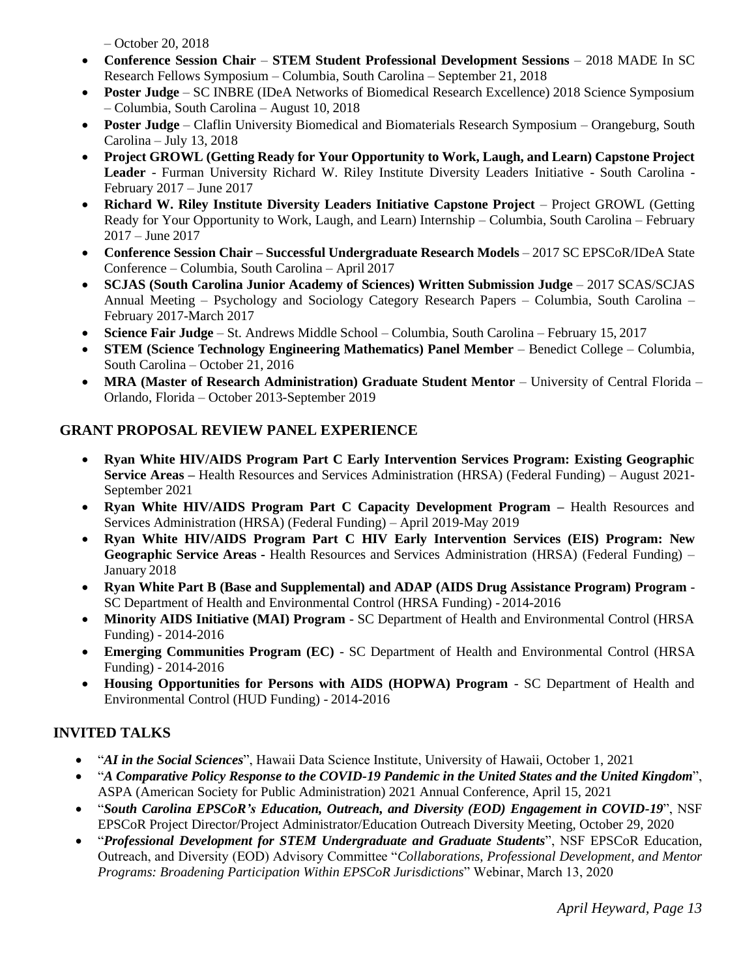– October 20, 2018

- **Conference Session Chair STEM Student Professional Development Sessions** 2018 MADE In SC Research Fellows Symposium – Columbia, South Carolina – September 21, 2018
- **Poster Judge**  SC INBRE (IDeA Networks of Biomedical Research Excellence) 2018 Science Symposium – Columbia, South Carolina – August 10, 2018
- **Poster Judge** Claflin University Biomedical and Biomaterials Research Symposium Orangeburg, South Carolina – July 13, 2018
- **Project GROWL (Getting Ready for Your Opportunity to Work, Laugh, and Learn) Capstone Project Leader** - Furman University Richard W. Riley Institute Diversity Leaders Initiative - South Carolina - February 2017 – June 2017
- **Richard W. Riley Institute Diversity Leaders Initiative Capstone Project**  Project GROWL (Getting Ready for Your Opportunity to Work, Laugh, and Learn) Internship – Columbia, South Carolina – February 2017 – June 2017
- **Conference Session Chair – Successful Undergraduate Research Models**  2017 SC EPSCoR/IDeA State Conference – Columbia, South Carolina – April 2017
- **SCJAS (South Carolina Junior Academy of Sciences) Written Submission Judge**  2017 SCAS/SCJAS Annual Meeting – Psychology and Sociology Category Research Papers – Columbia, South Carolina – February 2017-March 2017
- **Science Fair Judge**  St. Andrews Middle School Columbia, South Carolina February 15, 2017
- **STEM (Science Technology Engineering Mathematics) Panel Member**  Benedict College Columbia, South Carolina – October 21, 2016
- **MRA (Master of Research Administration) Graduate Student Mentor** University of Central Florida Orlando, Florida – October 2013-September 2019

# **GRANT PROPOSAL REVIEW PANEL EXPERIENCE**

- **Ryan White HIV/AIDS Program Part C Early Intervention Services Program: Existing Geographic Service Areas –** Health Resources and Services Administration (HRSA) (Federal Funding) – August 2021- September 2021
- **Ryan White HIV/AIDS Program Part C Capacity Development Program –** Health Resources and Services Administration (HRSA) (Federal Funding) – April 2019-May 2019
- **Ryan White HIV/AIDS Program Part C HIV Early Intervention Services (EIS) Program: New Geographic Service Areas -** Health Resources and Services Administration (HRSA) (Federal Funding) – January 2018
- **Ryan White Part B (Base and Supplemental) and ADAP (AIDS Drug Assistance Program) Program** SC Department of Health and Environmental Control (HRSA Funding) - 2014-2016
- **Minority AIDS Initiative (MAI) Program**  SC Department of Health and Environmental Control (HRSA Funding) - 2014-2016
- **Emerging Communities Program (EC)**  SC Department of Health and Environmental Control (HRSA Funding) - 2014-2016
- **Housing Opportunities for Persons with AIDS (HOPWA) Program**  SC Department of Health and Environmental Control (HUD Funding) - 2014-2016

# **INVITED TALKS**

- "*AI in the Social Sciences*", Hawaii Data Science Institute, University of Hawaii, October 1, 2021
- "*A Comparative Policy Response to the COVID-19 Pandemic in the United States and the United Kingdom*", ASPA (American Society for Public Administration) 2021 Annual Conference, April 15, 2021
- "*South Carolina EPSCoR's Education, Outreach, and Diversity (EOD) Engagement in COVID-19*", NSF EPSCoR Project Director/Project Administrator/Education Outreach Diversity Meeting, October 29, 2020
- "*Professional Development for STEM Undergraduate and Graduate Students*", NSF EPSCoR Education, Outreach, and Diversity (EOD) Advisory Committee "*Collaborations, Professional Development, and Mentor Programs: Broadening Participation Within EPSCoR Jurisdictions*" Webinar, March 13, 2020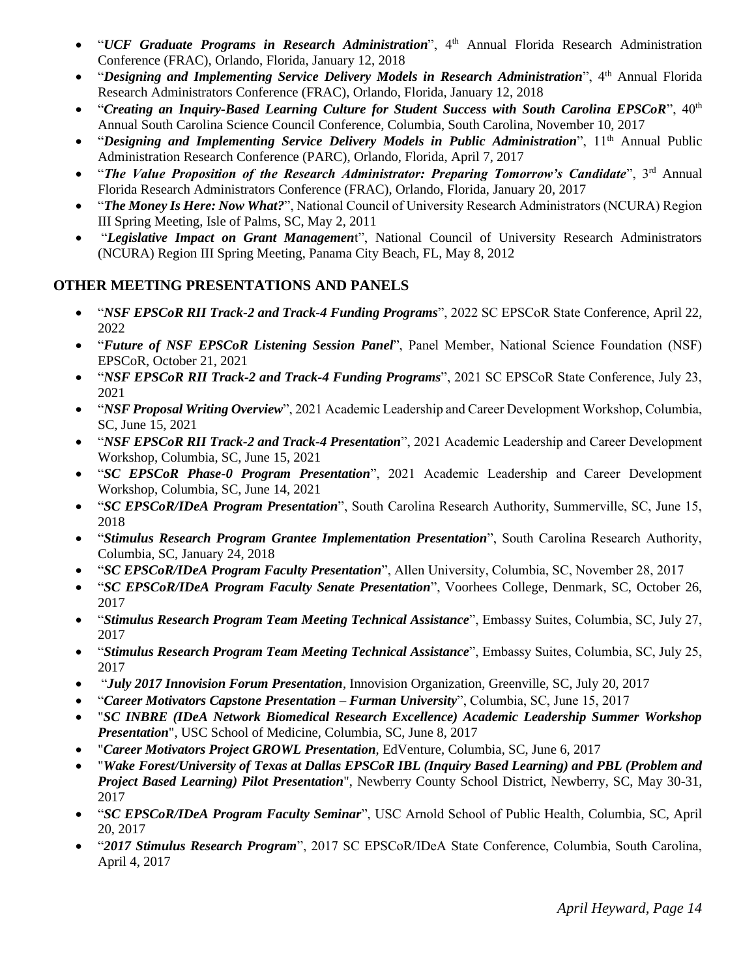- "*UCF Graduate Programs in Research Administration*", 4<sup>th</sup> Annual Florida Research Administration Conference (FRAC), Orlando, Florida, January 12, 2018
- "*Designing and Implementing Service Delivery Models in Research Administration*", 4th Annual Florida Research Administrators Conference (FRAC), Orlando, Florida, January 12, 2018
- "*Creating an Inquiry-Based Learning Culture for Student Success with South Carolina EPSCoR*", 40<sup>th</sup> Annual South Carolina Science Council Conference, Columbia, South Carolina, November 10, 2017
- "Designing and Implementing Service Delivery Models in Public Administration", 11<sup>th</sup> Annual Public Administration Research Conference (PARC), Orlando, Florida, April 7, 2017
- "*The Value Proposition of the Research Administrator: Preparing Tomorrow's Candidate*", 3<sup>rd</sup> Annual Florida Research Administrators Conference (FRAC), Orlando, Florida, January 20, 2017
- "*The Money Is Here: Now What?*", National Council of University Research Administrators (NCURA) Region III Spring Meeting, Isle of Palms, SC, May 2, 2011
- "*Legislative Impact on Grant Managemen*t", National Council of University Research Administrators (NCURA) Region III Spring Meeting, Panama City Beach, FL, May 8, 2012

# **OTHER MEETING PRESENTATIONS AND PANELS**

- "*NSF EPSCoR RII Track-2 and Track-4 Funding Programs*", 2022 SC EPSCoR State Conference, April 22, 2022
- "*Future of NSF EPSCoR Listening Session Panel*", Panel Member, National Science Foundation (NSF) EPSCoR, October 21, 2021
- "*NSF EPSCoR RII Track-2 and Track-4 Funding Programs*", 2021 SC EPSCoR State Conference, July 23, 2021
- "*NSF Proposal Writing Overview*", 2021 Academic Leadership and Career Development Workshop, Columbia, SC, June 15, 2021
- "*NSF EPSCoR RII Track-2 and Track-4 Presentation*", 2021 Academic Leadership and Career Development Workshop, Columbia, SC, June 15, 2021
- "*SC EPSCoR Phase-0 Program Presentation*", 2021 Academic Leadership and Career Development Workshop, Columbia, SC, June 14, 2021
- "*SC EPSCoR/IDeA Program Presentation*", South Carolina Research Authority, Summerville, SC, June 15, 2018
- "*Stimulus Research Program Grantee Implementation Presentation*", South Carolina Research Authority, Columbia, SC, January 24, 2018
- "*SC EPSCoR/IDeA Program Faculty Presentation*", Allen University, Columbia, SC, November 28, 2017
- "*SC EPSCoR/IDeA Program Faculty Senate Presentation*", Voorhees College, Denmark, SC, October 26, 2017
- "*Stimulus Research Program Team Meeting Technical Assistance*", Embassy Suites, Columbia, SC, July 27, 2017
- "*Stimulus Research Program Team Meeting Technical Assistance*", Embassy Suites, Columbia, SC, July 25, 2017
- "*July 2017 Innovision Forum Presentation*, Innovision Organization, Greenville, SC, July 20, 2017
- "*Career Motivators Capstone Presentation – Furman University*", Columbia, SC, June 15, 2017
- "*SC INBRE (IDeA Network Biomedical Research Excellence) Academic Leadership Summer Workshop Presentation*", USC School of Medicine, Columbia, SC, June 8, 2017
- "*Career Motivators Project GROWL Presentation*, EdVenture, Columbia, SC, June 6, 2017
- "*Wake Forest/University of Texas at Dallas EPSCoR IBL (Inquiry Based Learning) and PBL (Problem and Project Based Learning) Pilot Presentation*", Newberry County School District, Newberry, SC, May 30-31, 2017
- "*SC EPSCoR/IDeA Program Faculty Seminar*", USC Arnold School of Public Health, Columbia, SC, April 20, 2017
- "*2017 Stimulus Research Program*", 2017 SC EPSCoR/IDeA State Conference, Columbia, South Carolina, April 4, 2017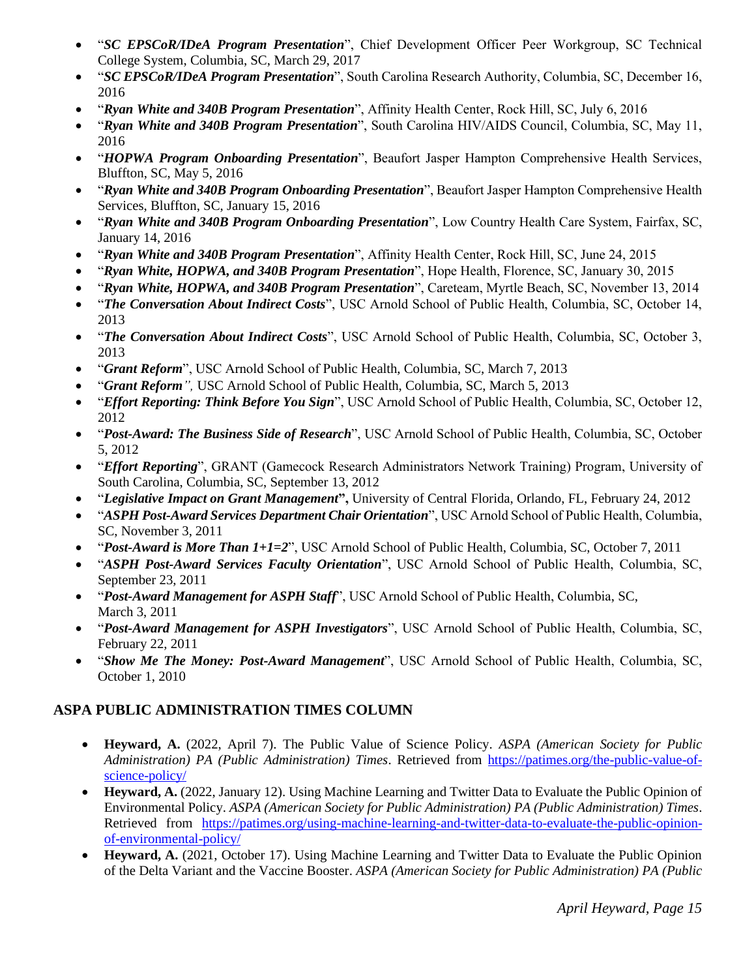- "*SC EPSCoR/IDeA Program Presentation*", Chief Development Officer Peer Workgroup, SC Technical College System, Columbia, SC, March 29, 2017
- "*SC EPSCoR/IDeA Program Presentation*", South Carolina Research Authority, Columbia, SC, December 16, 2016
- "*Ryan White and 340B Program Presentation*", Affinity Health Center, Rock Hill, SC, July 6, 2016
- "*Ryan White and 340B Program Presentation*", South Carolina HIV/AIDS Council, Columbia, SC, May 11, 2016
- "*HOPWA Program Onboarding Presentation*", Beaufort Jasper Hampton Comprehensive Health Services, Bluffton, SC, May 5, 2016
- "*Ryan White and 340B Program Onboarding Presentation*", Beaufort Jasper Hampton Comprehensive Health Services, Bluffton, SC, January 15, 2016
- "*Ryan White and 340B Program Onboarding Presentation*", Low Country Health Care System, Fairfax, SC, January 14, 2016
- "*Ryan White and 340B Program Presentation*", Affinity Health Center, Rock Hill, SC, June 24, 2015
- "*Ryan White, HOPWA, and 340B Program Presentation*", Hope Health, Florence, SC, January 30, 2015
- "*Ryan White, HOPWA, and 340B Program Presentation*", Careteam, Myrtle Beach, SC, November 13, 2014
- "*The Conversation About Indirect Costs*", USC Arnold School of Public Health, Columbia, SC, October 14, 2013
- "*The Conversation About Indirect Costs*", USC Arnold School of Public Health, Columbia, SC, October 3, 2013
- "*Grant Reform*", USC Arnold School of Public Health, Columbia, SC, March 7, 2013
- "*Grant Reform",* USC Arnold School of Public Health, Columbia, SC, March 5, 2013
- "*Effort Reporting: Think Before You Sign*", USC Arnold School of Public Health, Columbia, SC, October 12, 2012
- "*Post-Award: The Business Side of Research*", USC Arnold School of Public Health, Columbia, SC, October 5, 2012
- "*Effort Reporting*", GRANT (Gamecock Research Administrators Network Training) Program, University of South Carolina, Columbia, SC, September 13, 2012
- "*Legislative Impact on Grant Management***",** University of Central Florida, Orlando, FL, February 24, 2012
- "*ASPH Post-Award Services Department Chair Orientation*", USC Arnold School of Public Health, Columbia, SC, November 3, 2011
- "*Post-Award is More Than 1+1=2*", USC Arnold School of Public Health, Columbia, SC, October 7, 2011
- "*ASPH Post-Award Services Faculty Orientation*", USC Arnold School of Public Health, Columbia, SC, September 23, 2011
- "*Post-Award Management for ASPH Staff*", USC Arnold School of Public Health, Columbia, SC, March 3, 2011
- "*Post-Award Management for ASPH Investigators*", USC Arnold School of Public Health, Columbia, SC, February 22, 2011
- "*Show Me The Money: Post-Award Management*", USC Arnold School of Public Health, Columbia, SC, October 1, 2010

# **ASPA PUBLIC ADMINISTRATION TIMES COLUMN**

- **Heyward, A.** (2022, April 7). The Public Value of Science Policy. *ASPA (American Society for Public Administration) PA (Public Administration) Times*. Retrieved from [https://patimes.org/the-public-value-of](https://patimes.org/the-public-value-of-science-policy/)[science-policy/](https://patimes.org/the-public-value-of-science-policy/)
- **Heyward, A.** (2022, January 12). Using Machine Learning and Twitter Data to Evaluate the Public Opinion of Environmental Policy. *ASPA (American Society for Public Administration) PA (Public Administration) Times*. Retrieved from [https://patimes.org/using-machine-learning-and-twitter-data-to-evaluate-the-public-opinion](https://patimes.org/using-machine-learning-and-twitter-data-to-evaluate-the-public-opinion-of-environmental-policy/)[of-environmental-policy/](https://patimes.org/using-machine-learning-and-twitter-data-to-evaluate-the-public-opinion-of-environmental-policy/)
- **Heyward, A.** (2021, October 17). Using Machine Learning and Twitter Data to Evaluate the Public Opinion of the Delta Variant and the Vaccine Booster. *ASPA (American Society for Public Administration) PA (Public*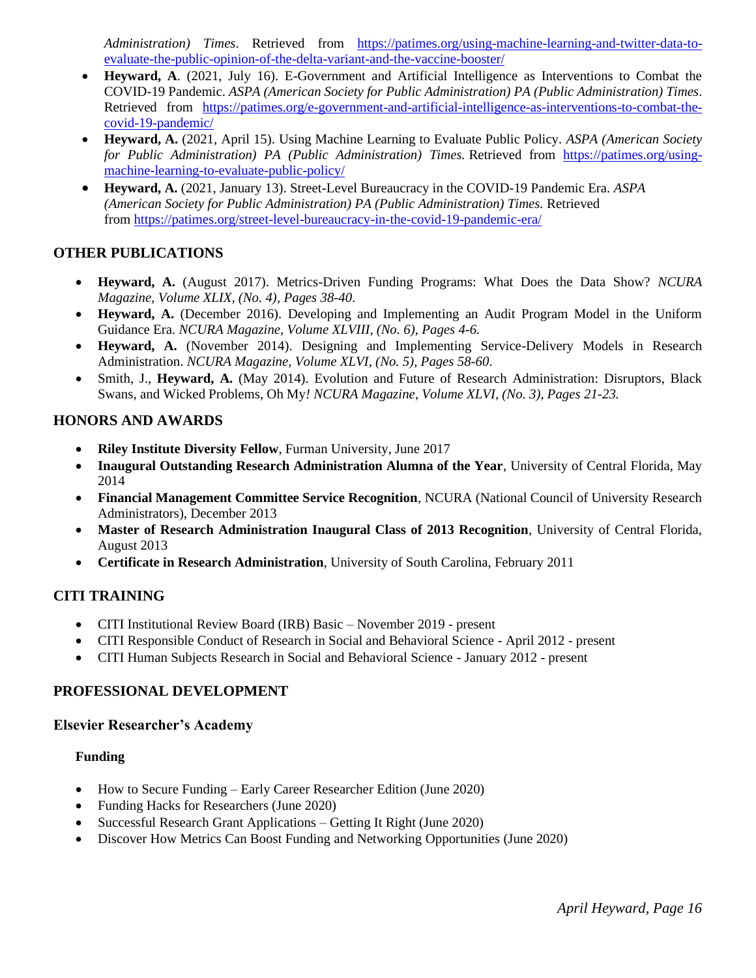*Administration) Times*. Retrieved from [https://patimes.org/using-machine-learning-and-twitter-data-to](https://patimes.org/using-machine-learning-and-twitter-data-to-evaluate-the-public-opinion-of-the-delta-variant-and-the-vaccine-booster/)[evaluate-the-public-opinion-of-the-delta-variant-and-the-vaccine-booster/](https://patimes.org/using-machine-learning-and-twitter-data-to-evaluate-the-public-opinion-of-the-delta-variant-and-the-vaccine-booster/)

- **Heyward, A**. (2021, July 16). E-Government and Artificial Intelligence as Interventions to Combat the COVID-19 Pandemic. *ASPA (American Society for Public Administration) PA (Public Administration) Times*. Retrieved from [https://patimes.org/e-government-and-artificial-intelligence-as-interventions-to-combat-the](https://patimes.org/e-government-and-artificial-intelligence-as-interventions-to-combat-the-covid-19-pandemic/)[covid-19-pandemic/](https://patimes.org/e-government-and-artificial-intelligence-as-interventions-to-combat-the-covid-19-pandemic/)
- **Heyward, A.** (2021, April 15). Using Machine Learning to Evaluate Public Policy. *ASPA (American Society for Public Administration) PA (Public Administration) Times.* Retrieved from [https://patimes.org/using](https://patimes.org/using-machine-learning-to-evaluate-public-policy/)[machine-learning-to-evaluate-public-policy/](https://patimes.org/using-machine-learning-to-evaluate-public-policy/)
- **Heyward, A.** (2021, January 13). Street-Level Bureaucracy in the COVID-19 Pandemic Era. *ASPA (American Society for Public Administration) PA (Public Administration) Times.* Retrieved from <https://patimes.org/street-level-bureaucracy-in-the-covid-19-pandemic-era/>

## **OTHER PUBLICATIONS**

- **Heyward, A.** (August 2017). Metrics-Driven Funding Programs: What Does the Data Show? *NCURA Magazine*, *Volume XLIX, (No. 4), Pages 38-40*.
- **Heyward, A.** (December 2016). Developing and Implementing an Audit Program Model in the Uniform Guidance Era. *NCURA Magazine, Volume XLVIII, (No. 6), Pages 4-6.*
- **Heyward, A.** (November 2014). Designing and Implementing Service-Delivery Models in Research Administration. *NCURA Magazine, Volume XLVI*, *(No. 5), Pages 58-60*.
- Smith, J., **Heyward, A.** (May 2014). Evolution and Future of Research Administration: Disruptors, Black Swans, and Wicked Problems, Oh My*! NCURA Magazine, Volume XLVI, (No. 3), Pages 21-23.*

### **HONORS AND AWARDS**

- **Riley Institute Diversity Fellow**, Furman University, June 2017
- **Inaugural Outstanding Research Administration Alumna of the Year**, University of Central Florida, May 2014
- **Financial Management Committee Service Recognition**, NCURA (National Council of University Research Administrators), December 2013
- **Master of Research Administration Inaugural Class of 2013 Recognition**, University of Central Florida, August 2013
- **Certificate in Research Administration**, University of South Carolina, February 2011

### **CITI TRAINING**

- CITI Institutional Review Board (IRB) Basic November 2019 present
- CITI Responsible Conduct of Research in Social and Behavioral Science April 2012 present
- CITI Human Subjects Research in Social and Behavioral Science January 2012 present

### **PROFESSIONAL DEVELOPMENT**

### **Elsevier Researcher's Academy**

#### **Funding**

- How to Secure Funding Early Career Researcher Edition (June 2020)
- Funding Hacks for Researchers (June 2020)
- Successful Research Grant Applications Getting It Right (June 2020)
- Discover How Metrics Can Boost Funding and Networking Opportunities (June 2020)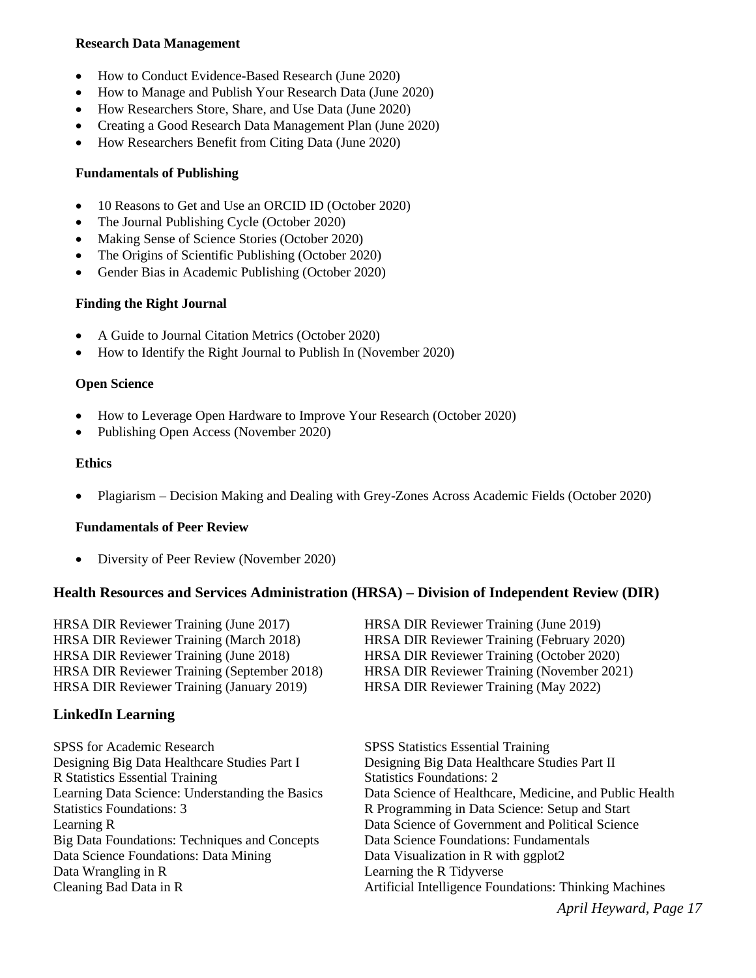#### **Research Data Management**

- How to Conduct Evidence-Based Research (June 2020)
- How to Manage and Publish Your Research Data (June 2020)
- How Researchers Store, Share, and Use Data (June 2020)
- Creating a Good Research Data Management Plan (June 2020)
- How Researchers Benefit from Citing Data (June 2020)

# **Fundamentals of Publishing**

- 10 Reasons to Get and Use an ORCID ID (October 2020)
- The Journal Publishing Cycle (October 2020)
- Making Sense of Science Stories (October 2020)
- The Origins of Scientific Publishing (October 2020)
- Gender Bias in Academic Publishing (October 2020)

# **Finding the Right Journal**

- A Guide to Journal Citation Metrics (October 2020)
- How to Identify the Right Journal to Publish In (November 2020)

# **Open Science**

- How to Leverage Open Hardware to Improve Your Research (October 2020)
- Publishing Open Access (November 2020)

#### **Ethics**

• Plagiarism – Decision Making and Dealing with Grey-Zones Across Academic Fields (October 2020)

### **Fundamentals of Peer Review**

• Diversity of Peer Review (November 2020)

### **Health Resources and Services Administration (HRSA) – Division of Independent Review (DIR)**

HRSA DIR Reviewer Training (June 2017) HRSA DIR Reviewer Training (June 2019) HRSA DIR Reviewer Training (March 2018) HRSA DIR Reviewer Training (February 2020) HRSA DIR Reviewer Training (June 2018) HRSA DIR Reviewer Training (October 2020) HRSA DIR Reviewer Training (September 2018) HRSA DIR Reviewer Training (November 2021) HRSA DIR Reviewer Training (January 2019) HRSA DIR Reviewer Training (May 2022)

# **LinkedIn Learning**

SPSS for Academic Research SPSS Statistics Essential Training Designing Big Data Healthcare Studies Part I Designing Big Data Healthcare Studies Part II R Statistics Essential Training Statistics Foundations: 2 Big Data Foundations: Techniques and Concepts Data Science Foundations: Fundamentals Data Science Foundations: Data Mining Data Visualization in R with ggplot2 Data Wrangling in R Learning the R Tidyverse

Learning Data Science: Understanding the Basics Data Science of Healthcare, Medicine, and Public Health Statistics Foundations: 3 **8. Programming in Data Science: Setup and Start** Learning R Data Science of Government and Political Science Cleaning Bad Data in R Artificial Intelligence Foundations: Thinking Machines

*April Heyward, Page 17*